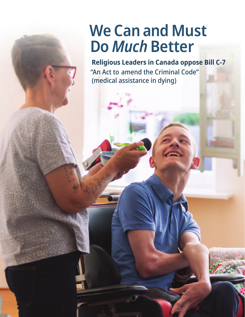# **We Can and Must Do** *Much* **Better**

**Religious Leaders in Canada oppose Bill C-7** "An Act to amend the Criminal Code" (medical assistance in dying)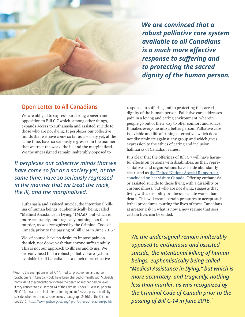*We are convinced that a robust palliative care system available to all Canadians is a much more effective response to suffering and to protecting the sacred dignity of the human person.*

#### **Open Letter to All Canadians**

We are obliged to express our strong concern and opposition to Bill C-7 which, among other things, expands access to euthanasia and assisted suicide to those who are not dying. It perplexes our collective minds that we have come so far as a society yet, at the same time, have so seriously regressed in the manner that we treat the weak, the ill, and the marginalized. We the undersigned remain inalterably opposed to

*It perplexes our collective minds that we have come so far as a society yet, at the same time, have so seriously regressed in the manner that we treat the weak, the ill, and the marginalized.*

euthanasia and assisted suicide, the intentional killing of human beings, euphemistically being called "Medical Assistance in Dying," (MAiD) but which is more accurately, and tragically, nothing less than murder, as was recognized by the Criminal Code of Canada prior to the passing of Bill C-14 in June 2016. 1

We, of course, have no desire to impose pain on the sick, nor do we wish that anyone suffer unduly. This is not our approach to illness and dying. We are convinced that a robust palliative care system available to all Canadians is a much more effective

response to suffering and to protecting the sacred dignity of the human person. Palliative care addresses pain in a loving and caring environment, wherein people go out of their way to offer comfort and solace. It makes everyone into a better person. Palliative care is a viable and life affirming alternative, which does not discriminate against any group and which gives expression to the ethics of caring and inclusion, hallmarks of Canadian values.

It is clear that the offerings of Bill C-7 will have harmful effects on persons with disabilities, as their representatives and organizations have made abundantly clear, and as [the United Nations Special Rapporteur](https://www.ohchr.org/EN/NewsEvents/Pages/DisplayNews.aspx?NewsID=24481&LangID=E)  [concluded on her visit to Canada](https://www.ohchr.org/EN/NewsEvents/Pages/DisplayNews.aspx?NewsID=24481&LangID=E). Offering euthanasia or assisted suicide to those living with a disability or chronic illness, but who are not dying, suggests that living with a disability or illness is a fate worse than death. This will create certain pressures to accept such lethal procedures, putting the lives of these Canadians at greater risk in what is now a new regime that sees certain lives can be ended.

*We the undersigned remain inalterably opposed to euthanasia and assisted suicide, the intentional killing of human beings, euphemistically being called "Medical Assistance in Dying," but which is more accurately, and tragically, nothing less than murder, as was recognized by the Criminal Code of Canada prior to the passing of Bill C-14 in June 2016.1*

<sup>&</sup>lt;sup>1</sup> Prior to the exemptions of Bill C-14, medical practitioners and nurse practitioners in Canada, would have been charged criminally with "culpable homicide" if they "intentionally cause the death of another person, even if they consent to die (section 14 of the Criminal Code)." Likewise, prior to Bill C-14, it was a criminal offence for anyone to "assist a person to die by suicide, whether or not suicide ensues (paragraph 241(b) of the Criminal Code)." Cf.<https://www.justice.gc.ca/eng/rp-pr/other-autre/ad-am/p2.html>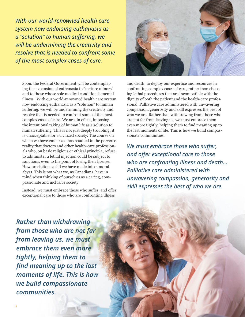*With our world-renowned health care system now endorsing euthanasia as a "solution" to human suffering, we will be undermining the creativity and resolve that is needed to confront some of the most complex cases of care.*

Soon, the Federal Government will be contemplating the expansion of euthanasia to "mature minors" and to those whose sole medical condition is mental illness. With our world-renowned health care system now endorsing euthanasia as a "solution" to human suffering, we will be undermining the creativity and resolve that is needed to confront some of the most complex cases of care. We are, in effect, imposing the intentional taking of human life as a solution to human suffering. This is not just deeply troubling; it is unacceptable for a civilized society. The course on which we have embarked has resulted in the perverse reality that doctors and other health-care professionals who, on basic religious or ethical principle, refuse to administer a lethal injection could be subject to sanctions, even to the point of losing their license. How precipitous a fall we have made into a moral abyss. This is not what we, as Canadians, have in mind when thinking of ourselves as a caring, compassionate and inclusive society.

Instead, we must embrace those who suffer, and offer exceptional care to those who are confronting illness



and death; to deploy our expertise and resources in confronting complex cases of care, rather than choosing lethal procedures that are incompatible with the dignity of both the patient and the health-care professional. Palliative care administered with unwavering compassion, generosity and skill expresses the best of who we are. Rather than withdrawing from those who are not far from leaving us, we must embrace them even more tightly, helping them to find meaning up to the last moments of life. This is how we build compassionate communities.

*We must embrace those who suffer, and offer exceptional care to those who are confronting illness and death... Palliative care administered with unwavering compassion, generosity and skill expresses the best of who we are.*

*Rather than withdrawing from those who are not far from leaving us, we must embrace them even more tightly, helping them to find meaning up to the last moments of life. This is how we build compassionate communities.*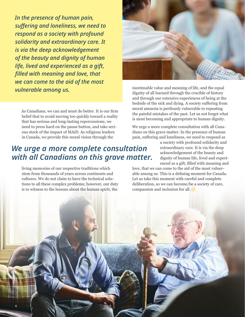*In the presence of human pain, suffering and loneliness, we need to respond as a society with profound solidarity and extraordinary care. It is via the deep acknowledgement of the beauty and dignity of human life, lived and experienced as a gift, filled with meaning and love, that we can come to the aid of the most vulnerable among us.*

As Canadians, we can and must do better. It is our firm belief that to avoid moving too quickly toward a reality that has serious and long-lasting repercussions, we need to press hard on the pause button, and take serious stock of the impact of MAiD. As religious leaders in Canada, we provide this moral vision through the

#### *We urge a more complete consultation with all Canadians on this grave matter.*

living memories of our respective traditions which stem from thousands of years across continents and cultures. We do not claim to have the technical solutions to all these complex problems; however, our duty is to witness to the lessons about the human spirit, the



inestimable value and meaning of life, and the equal dignity of all learned through the crucible of history and through our extensive experiences of being at the bedside of the sick and dying. A society suffering from moral amnesia is perilously vulnerable to repeating the painful mistakes of the past. Let us not forget what is most becoming and appropriate to human dignity.

We urge a more complete consultation with all Canadians on this grave matter. In the presence of human pain, suffering and loneliness, we need to respond as

> a society with profound solidarity and extraordinary care. It is via the deep acknowledgement of the beauty and dignity of human life, lived and experienced as a gift, filled with meaning and

love, that we can come to the aid of the most vulnerable among us. This is a defining moment for Canada. Let us take this moment with careful and complete deliberation, so we can become/be a society of care, compassion and inclusion for all.  $\otimes$ 

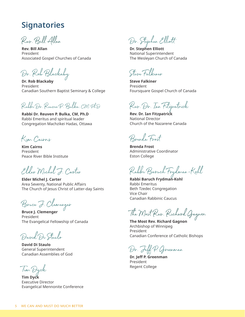#### **Signatories**

Rev. Bill Allan

**Rev. Bill Allan** President Associated Gospel Churches of Canada

Dr. Rob Blackaby

**Dr. Rob Blackaby** President Canadian Southern Baptist Seminary & College

Rabbi Dr. Reuven P. Bulka, CM, Ph.D

**Rabbi Dr. Reuven P. Bulka, CM, Ph.D** Rabbi Emeritus and spiritual leader Congregation Machzikei Hadas, Ottawa

Kim Cairns

**Kim Cairns** President Peace River Bible Institute

Elder Michel J. Carter

**Elder Michel J. Carter** Area Seventy, National Public Affairs The Church of Jesus Christ of Latter-day Saints

Bruce J. Clemenger

**Bruce J. Clemenger** President The Evangelical Fellowship of Canada

David Di Staulo

**David Di Staulo** General Superintendent Canadian Assemblies of God

Tim Dyck

**Tim Dyck** Executive Director Evangelical Mennonite Conference

Dr. Stephen Elliott

**Dr. Stephen Elliott**  National Superintendent The Wesleyan Church of Canada

Steve Falkiner

**Steve Falkiner** President Foursquare Gospel Church of Canada

Rev. Dr. Ian Fitzpatrick

**Rev. Dr. Ian Fitzpatrick** National Director Church of the Nazarene Canada

Brenda Frost

**Brenda Frost** Administrative Coordinator Eston College

Rabbi Baruch Frydman-Kohl

**Rabbi Baruch Frydman-Kohl** Rabbi Emeritus Beth Tzedec Congregation Vice Chair Canadian Rabbinic Caucus

The Most Rev. Richard Gagnon

**The Most Rev. Richard Gagnon** Archbishop of Winnipeg President Canadian Conference of Catholic Bishops

Dr. Jeff P. Greenman

**Dr. Jeff P. Greenman** President Regent College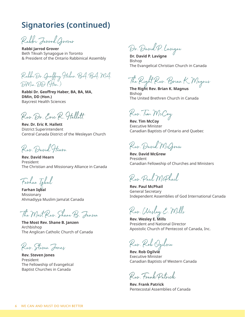## **Signatories (continued)**

Rabbi Jarrod Grover

**Rabbi Jarrod Grover** Beth Tikvah Synagogue in Toronto & President of the Ontario Rabbinical Assembly

Rabbi Dr. Geoffrey Haber, BA, BA, MA, DMin, DD (Hon.)

**Rabbi Dr. Geoffrey Haber, BA, BA, MA, DMin, DD (Hon.)** Baycrest Health Sciences

Rev. Dr. Eric R. Hallett

**Rev. Dr. Eric R. Hallett** District Superintendent Central Canada District of the Wesleyan Church

Rev. David Hearn

**Rev. David Hearn** President The Christian and Missionary Alliance in Canada

Farhan Iqbal

**Farhan Iqbal** Missionary Ahmadiyya Muslim Jama'at Canada

The Most Rev. Shane B. Janzen

**The Most Rev. Shane B. Janzen** Archbishop The Anglican Catholic Church of Canada

Rev. Steven Jones

**Rev. Steven Jones** President The Fellowship of Evangelical Baptist Churches in Canada

Dr. David P. Lavigne

**Dr. David P. Lavigne** Bishop The Evangelical Christian Church in Canada

The Right Rev. Brian K. Magnus

**The Right Rev. Brian K. Magnus** Bishop The United Brethren Church in Canada

Rev. Tim McCoy

**Rev. Tim McCoy** Executive Minister Canadian Baptists of Ontario and Quebec

Rev. David McGrew

**Rev. David McGrew** President Canadian Fellowship of Churches and Ministers

Rev. Paul McPhail

**Rev. Paul McPhail** General Secretary Independent Assemblies of God International Canada

Rev. Wesley E. Mills

**Rev. Wesley E. Mills** President and National Director Apostolic Church of Pentecost of Canada, Inc.

Rev. Rob Ogilvie

**Rev. Rob Ogilvie** Executive Minister Canadian Baptists of Western Canada

Rev. Frank Patrick

**Rev. Frank Patrick** Pentecostal Assemblies of Canada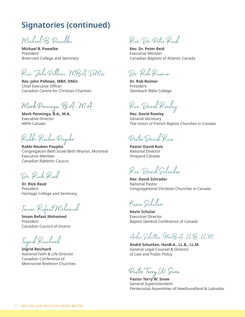### **Signatories (continued)**

Michael B. Pawelke

**Michael B. Pawelke** President Briercrest College and Seminary

Rev. John Pellowe, MBA, DMin

**Rev. John Pellowe, MBA, DMin** Chief Executive Officer Canadian Centre for Christian Charities

Mark Penninga, B.A., M.A.

**Mark Penninga, B.A., M.A.** Executive Director ARPA Canada

Rabbi Reuben Poupko

**Rabbi Reuben Poupko** Congregation Beth Israel Beth Aharon, Montreal Executive Member Canadian Rabbinic Caucus

Dr. Rick Reed

**Dr. Rick Reed** President Heritage College and Seminary

Imam Refaat Mohamed

**Imam Refaat Mohamed** President Canadian Council of Imams

Ingrid Reichard

**Ingrid Reichard** National Faith & Life Director Canadian Conference of Mennonite Brethren Churches

Rev. Dr. Peter Reid

**Rev. Dr. Peter Reid** Executive Minister Canadian Baptists of Atlantic Canada

Dr. Rob Reimer

**Dr. Rob Reimer** President Steinbach Bible College

Rev. David Rowley

**Rev. David Rowley** General Secretary The Union of French Baptist Churches in Canada

Pastor David Ruis

**Pastor David Ruis** National Director Vineyard Canada

Rev. David Schrader

**Rev. David Schrader** National Pastor Congregational Christian Churches in Canada

Kevin Schular

**Kevin Schular** Executive Director Baptist General Conference of Canada

André Schutten, HonB.A., LL.B., LL.M.

**André Schutten, HonB.A., LL.B., LL.M.** General Legal Counsel & Director of Law and Public Policy

Pastor Terry W. Snow

**Pastor Terry W. Snow** General Superintendent Pentecostal Assemblies of Newfoundland & Labrador